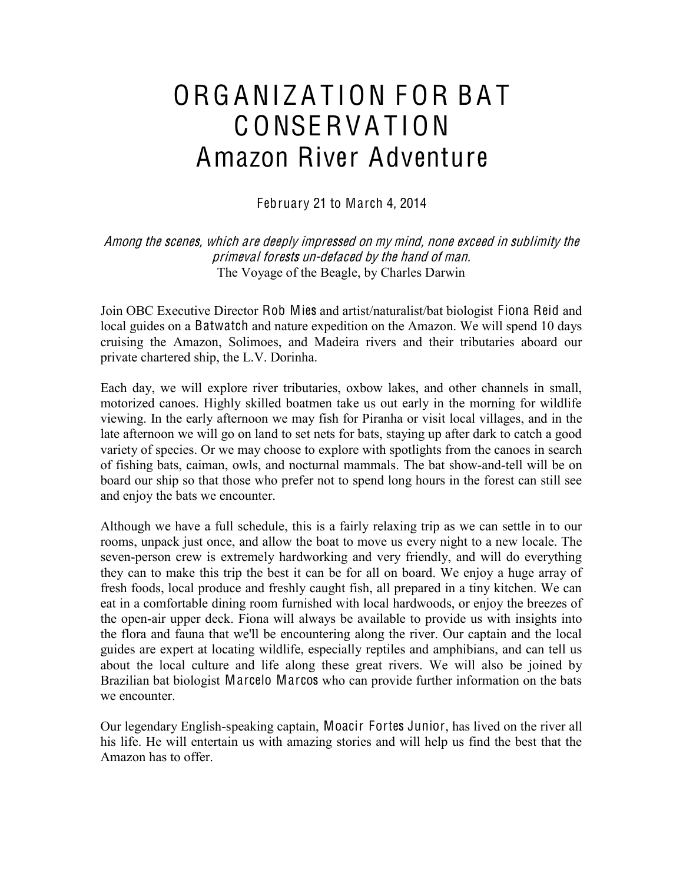# ORGANIZATION FOR BAT C ONSERV A T ION Amazon River Adventure

February 21 to March 4, 2014

Among th<sup>e</sup> <sup>s</sup>cenes, which ar<sup>e</sup> deeply impressed on my mind, non<sup>e</sup> <sup>e</sup>xceed in <sup>s</sup>ublimity th<sup>e</sup> primeval forests un-defaced by th<sup>e</sup> hand <sup>o</sup>f man. The Voyage of the Beagle, by Charles Darwin

Join OBC Executive Director Rob Mies and artist/naturalist/bat biologist Fiona Reid and local guides on a Batwatch and nature expedition on the Amazon. We will spend 10 days cruising the Amazon, Solimoes, and Madeira rivers and their tributaries aboard our private chartered ship, the L.V. Dorinha.

Each day, we will explore river tributaries, oxbow lakes, and other channels in small, motorized canoes. Highly skilled boatmen take us out early in the morning for wildlife viewing. In the early afternoon we may fish for Piranha or visit local villages, and in the late afternoon we will go on land to set nets for bats, staying up after dark to catch a good variety of species. Or we may choose to explore with spotlights from the canoes in search of fishing bats, caiman, owls, and nocturnal mammals. The bat show-and-tell will be on board our ship so that those who prefer not to spend long hours in the forest can still see and enjoy the bats we encounter.

Although we have a full schedule, this is a fairly relaxing trip as we can settle in to our rooms, unpack just once, and allow the boat to move us every night to a new locale. The seven-person crew is extremely hardworking and very friendly, and will do everything they can to make this trip the best it can be for all on board. We enjoy a huge array of fresh foods, local produce and freshly caught fish, all prepared in a tiny kitchen. We can eat in a comfortable dining room furnished with local hardwoods, or enjoy the breezes of the open-air upper deck. Fiona will always be available to provide us with insights into the flora and fauna that we'll be encountering along the river. Our captain and the local guides are expert at locating wildlife, especially reptiles and amphibians, and can tell us about the local culture and life along these great rivers. We will also be joined by Brazilian bat biologist Marcelo Marcos who can provide further information on the bats we encounter.

Our legendary English-speaking captain, Moacir Fortes Junior, has lived on the river all his life. He will entertain us with amazing stories and will help us find the best that the Amazon has to offer.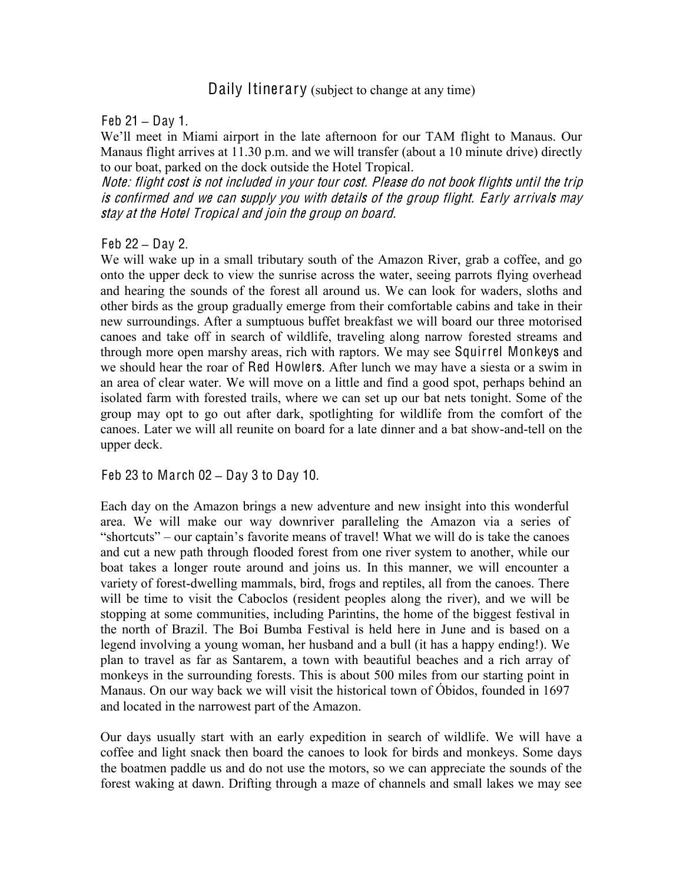## Daily Itinerary (subject to change at any time)

#### Feb 21 **±** Day 1.

We'll meet in Miami airport in the late afternoon for our TAM flight to Manaus. Our Manaus flight arrives at 11.30 p.m. and we will transfer (about a 10 minute drive) directly to our boat, parked on the dock outside the Hotel Tropical.

Note: flight <sup>c</sup>ost i<sup>s</sup> not included in your tour <sup>c</sup>ost. Pleas<sup>e</sup> do not book flights until th<sup>e</sup> trip i<sup>s</sup> <sup>c</sup>onfirmed and <sup>w</sup><sup>e</sup> <sup>c</sup>an <sup>s</sup>upply you with detail<sup>s</sup> <sup>o</sup>f th<sup>e</sup> group flight. Early arrival<sup>s</sup> may stay <sup>a</sup>t th<sup>e</sup> Hotel Tropical and join th<sup>e</sup> group on board.

Feb 22 **±** Day 2.

We will wake up in a small tributary south of the Amazon River, grab a coffee, and go onto the upper deck to view the sunrise across the water, seeing parrots flying overhead and hearing the sounds of the forest all around us. We can look for waders, sloths and other birds as the group gradually emerge from their comfortable cabins and take in their new surroundings. After a sumptuous buffet breakfast we will board our three motorised canoes and take off in search of wildlife, traveling along narrow forested streams and through more open marshy areas, rich with raptors. We may see Squirrel Monkeys and we should hear the roar of Red Howlers. After lunch we may have a siesta or a swim in an area of clear water. We will move on a little and find a good spot, perhaps behind an isolated farm with forested trails, where we can set up our bat nets tonight. Some of the group may opt to go out after dark, spotlighting for wildlife from the comfort of the canoes. Later we will all reunite on board for a late dinner and a bat show-and-tell on the upper deck.

Feb 23 to March 02 **±** Day 3 to Day 10.

Each day on the Amazon brings a new adventure and new insight into this wonderful area. We will make our way downriver paralleling the Amazon via a series of "shortcuts"  $-$  our captain's favorite means of travel! What we will do is take the canoes and cut a new path through flooded forest from one river system to another, while our boat takes a longer route around and joins us. In this manner, we will encounter a variety of forest-dwelling mammals, bird, frogs and reptiles, all from the canoes. There will be time to visit the Caboclos (resident peoples along the river), and we will be stopping at some communities, including Parintins, the home of the biggest festival in the north of Brazil. The Boi Bumba Festival is held here in June and is based on a legend involving a young woman, her husband and a bull (it has a happy ending!). We plan to travel as far as Santarem, a town with beautiful beaches and a rich array of monkeys in the surrounding forests. This is about 500 miles from our starting point in Manaus. On our way back we will visit the historical town of Óbidos, founded in 1697 and located in the narrowest part of the Amazon.

Our days usually start with an early expedition in search of wildlife. We will have a coffee and light snack then board the canoes to look for birds and monkeys. Some days the boatmen paddle us and do not use the motors, so we can appreciate the sounds of the forest waking at dawn. Drifting through a maze of channels and small lakes we may see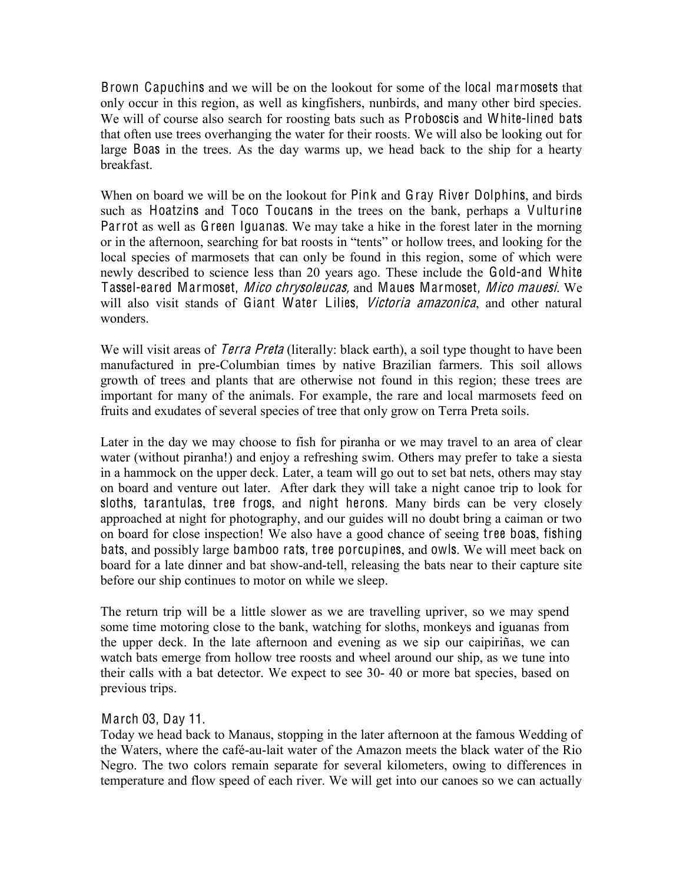Brown Capuchins and we will be on the lookout for some of the local marmosets that only occur in this region, as well as kingfishers, nunbirds, and many other bird species. We will of course also search for roosting bats such as Proboscis and White-lined bats that often use trees overhanging the water for their roosts. We will also be looking out for large Boas in the trees. As the day warms up, we head back to the ship for a hearty breakfast.

When on board we will be on the lookout for Pink and Gray River Dolphins, and birds such as Hoatzins and Toco Toucans in the trees on the bank, perhaps a Vulturine Parrot as well as Green Iguanas. We may take a hike in the forest later in the morning or in the afternoon, searching for bat roosts in "tents" or hollow trees, and looking for the local species of marmosets that can only be found in this region, some of which were newly described to science less than 20 years ago. These include the Gold-and White Tassel-eared Marmoset, Mic<sup>o</sup> <sup>c</sup>hrysoleucas, and Maues Marmoset, Mic<sup>o</sup> mauesi. We will also visit stands of Giant Water Lilies, Victoria amazonica, and other natural wonders.

We will visit areas of *Terra Preta* (literally: black earth), a soil type thought to have been manufactured in pre-Columbian times by native Brazilian farmers. This soil allows growth of trees and plants that are otherwise not found in this region; these trees are important for many of the animals. For example, the rare and local marmosets feed on fruits and exudates of several species of tree that only grow on Terra Preta soils.

Later in the day we may choose to fish for piranha or we may travel to an area of clear water (without piranha!) and enjoy a refreshing swim. Others may prefer to take a siesta in a hammock on the upper deck. Later, a team will go out to set bat nets, others may stay on board and venture out later. After dark they will take a night canoe trip to look for sloths, tarantulas, tree frogs, and night herons. Many birds can be very closely approached at night for photography, and our guides will no doubt bring a caiman or two on board for close inspection! We also have a good chance of seeing tree boas, fishing bats, and possibly large bamboo rats, tree porcupines, and owls. We will meet back on board for a late dinner and bat show-and-tell, releasing the bats near to their capture site before our ship continues to motor on while we sleep.

The return trip will be a little slower as we are travelling upriver, so we may spend some time motoring close to the bank, watching for sloths, monkeys and iguanas from the upper deck. In the late afternoon and evening as we sip our caipiriñas, we can watch bats emerge from hollow tree roosts and wheel around our ship, as we tune into their calls with a bat detector. We expect to see 30- 40 or more bat species, based on previous trips.

## March 03, Day 11.

Today we head back to Manaus, stopping in the later afternoon at the famous Wedding of the Waters, where the café-au-lait water of the Amazon meets the black water of the Rio Negro. The two colors remain separate for several kilometers, owing to differences in temperature and flow speed of each river. We will get into our canoes so we can actually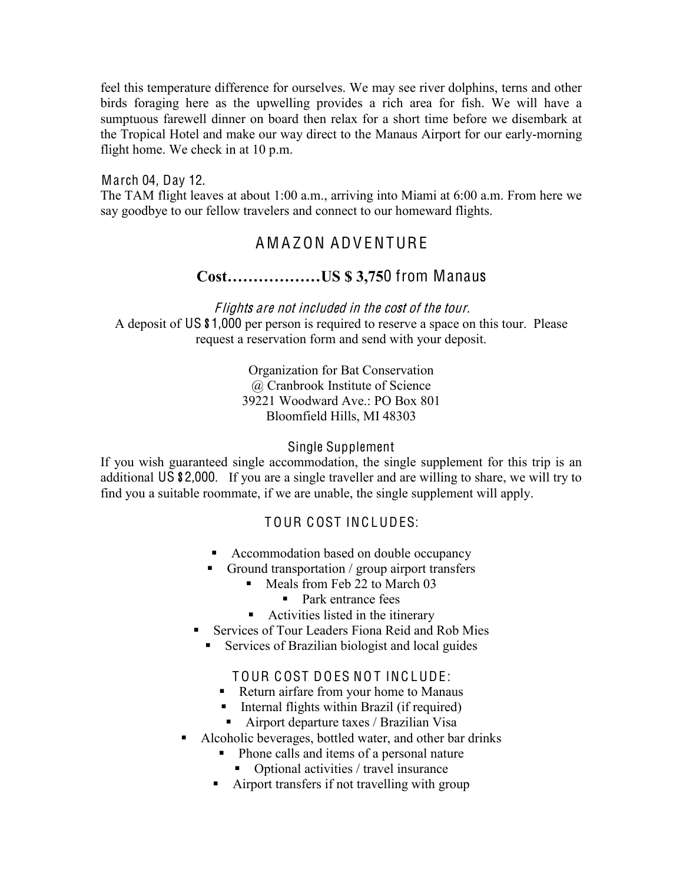feel this temperature difference for ourselves. We may see river dolphins, terns and other birds foraging here as the upwelling provides a rich area for fish. We will have a sumptuous farewell dinner on board then relax for a short time before we disembark at the Tropical Hotel and make our way direct to the Manaus Airport for our early-morning flight home. We check in at 10 p.m.

March 04, Day 12. The TAM flight leaves at about 1:00 a.m., arriving into Miami at 6:00 a.m. From here we say goodbye to our fellow travelers and connect to our homeward flights.

# A M A ZON ADV ENTURE

## **&RVW««««««86**0 from Manaus

Flights are not included in the cost of the tour.

A deposit of US \$1,000 per person is required to reserve a space on this tour. Please request a reservation form and send with your deposit.

> Organization for Bat Conservation @ Cranbrook Institute of Science 39221 Woodward Ave.: PO Box 801 Bloomfield Hills, MI 48303

## Single Supplement

If you wish guaranteed single accommodation, the single supplement for this trip is an additional US \$2,000. If you are a single traveller and are willing to share, we will try to find you a suitable roommate, if we are unable, the single supplement will apply.

## T OUR C OST INC LUDES:

- Accommodation based on double occupancy
- Ground transportation / group airport transfers
	- Meals from Feb 22 to March 03
		- Park entrance fees
	- Activities listed in the itinerary
- **Services of Tour Leaders Fiona Reid and Rob Mies** 
	- **Services of Brazilian biologist and local guides**

## TOUR COST DOES NOT INCLUDE:

- Return airfare from your home to Manaus
- **Internal flights within Brazil (if required)**
- Airport departure taxes / Brazilian Visa
- Alcoholic beverages, bottled water, and other bar drinks
	- Phone calls and items of a personal nature
		- Optional activities / travel insurance
	- Airport transfers if not travelling with group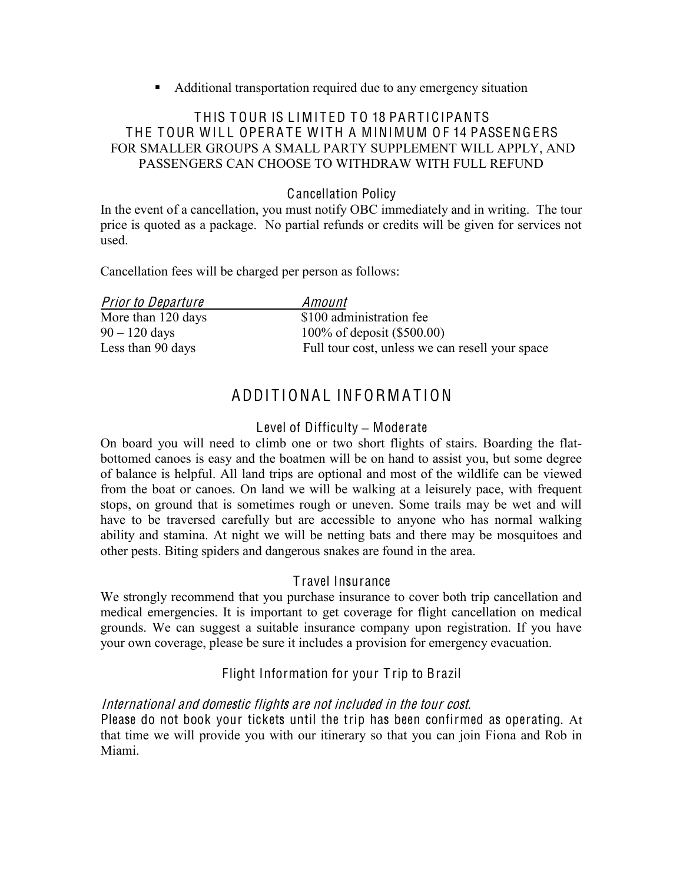Additional transportation required due to any emergency situation

## THIS TOUR IS LIMITED TO 18 PARTICIPANTS THE TOUR WILL OPERATE WITH A MINIMUM OF 14 PASSENGERS FOR SMALLER GROUPS A SMALL PARTY SUPPLEMENT WILL APPLY, AND PASSENGERS CAN CHOOSE TO WITHDRAW WITH FULL REFUND

## Cancellation Policy

In the event of a cancellation, you must notify OBC immediately and in writing. The tour price is quoted as a package. No partial refunds or credits will be given for services not used.

Cancellation fees will be charged per person as follows:

| <b>Prior to Departure</b> | Amount                                          |
|---------------------------|-------------------------------------------------|
| More than 120 days        | \$100 administration fee                        |
| $90 - 120$ days           | 100\% of deposit (\$500.00)                     |
| Less than 90 days         | Full tour cost, unless we can resell your space |

# ADDITIONAL INFORMATION

## Level of Difficulty – Moderate

On board you will need to climb one or two short flights of stairs. Boarding the flatbottomed canoes is easy and the boatmen will be on hand to assist you, but some degree of balance is helpful. All land trips are optional and most of the wildlife can be viewed from the boat or canoes. On land we will be walking at a leisurely pace, with frequent stops, on ground that is sometimes rough or uneven. Some trails may be wet and will have to be traversed carefully but are accessible to anyone who has normal walking ability and stamina. At night we will be netting bats and there may be mosquitoes and other pests. Biting spiders and dangerous snakes are found in the area.

## T ravel Insurance

We strongly recommend that you purchase insurance to cover both trip cancellation and medical emergencies. It is important to get coverage for flight cancellation on medical grounds. We can suggest a suitable insurance company upon registration. If you have your own coverage, please be sure it includes a provision for emergency evacuation.

## Flight Information for your T rip to Brazil

## International and domesti<sup>c</sup> flights ar<sup>e</sup> not included in th<sup>e</sup> tour <sup>c</sup>ost.

Please do not book your tickets until the trip has been confirmed as operating. At that time we will provide you with our itinerary so that you can join Fiona and Rob in Miami.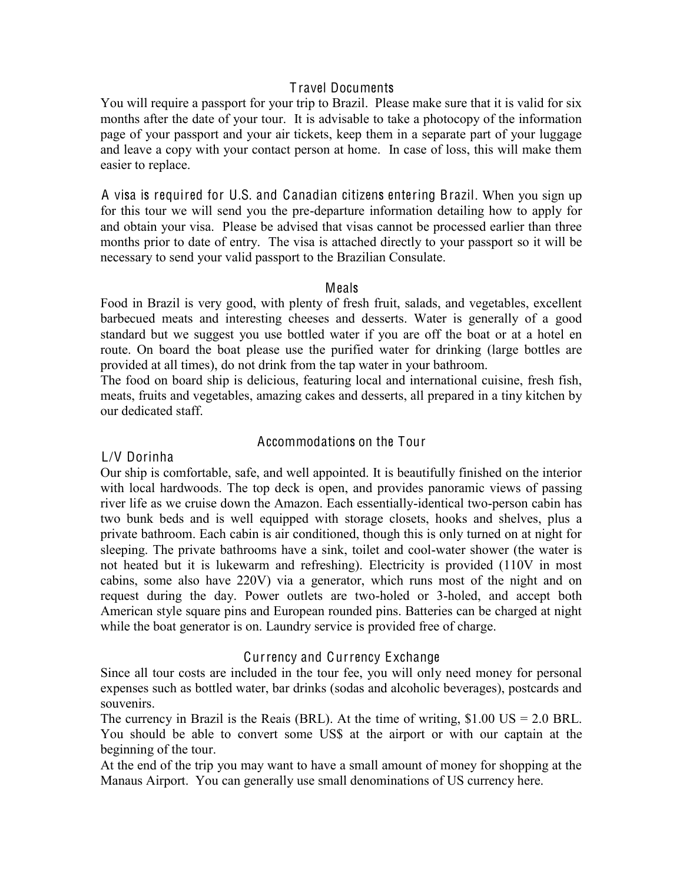## T ravel Documents

You will require a passport for your trip to Brazil. Please make sure that it is valid for six months after the date of your tour. It is advisable to take a photocopy of the information page of your passport and your air tickets, keep them in a separate part of your luggage and leave a copy with your contact person at home. In case of loss, this will make them easier to replace.

A visa is required for U.S. and Canadian citizens entering Brazil. When you sign up for this tour we will send you the pre-departure information detailing how to apply for and obtain your visa. Please be advised that visas cannot be processed earlier than three months prior to date of entry. The visa is attached directly to your passport so it will be necessary to send your valid passport to the Brazilian Consulate.

## Meals

Food in Brazil is very good, with plenty of fresh fruit, salads, and vegetables, excellent barbecued meats and interesting cheeses and desserts. Water is generally of a good standard but we suggest you use bottled water if you are off the boat or at a hotel en route. On board the boat please use the purified water for drinking (large bottles are provided at all times), do not drink from the tap water in your bathroom.

The food on board ship is delicious, featuring local and international cuisine, fresh fish, meats, fruits and vegetables, amazing cakes and desserts, all prepared in a tiny kitchen by our dedicated staff.

## Accommodations on the Tour

## L/V Dorinha

Our ship is comfortable, safe, and well appointed. It is beautifully finished on the interior with local hardwoods. The top deck is open, and provides panoramic views of passing river life as we cruise down the Amazon. Each essentially-identical two-person cabin has two bunk beds and is well equipped with storage closets, hooks and shelves, plus a private bathroom. Each cabin is air conditioned, though this is only turned on at night for sleeping. The private bathrooms have a sink, toilet and cool-water shower (the water is not heated but it is lukewarm and refreshing). Electricity is provided (110V in most cabins, some also have 220V) via a generator, which runs most of the night and on request during the day. Power outlets are two-holed or 3-holed, and accept both American style square pins and European rounded pins. Batteries can be charged at night while the boat generator is on. Laundry service is provided free of charge.

## Currency and Currency Exchange

Since all tour costs are included in the tour fee, you will only need money for personal expenses such as bottled water, bar drinks (sodas and alcoholic beverages), postcards and souvenirs.

The currency in Brazil is the Reais (BRL). At the time of writing,  $$1.00 \text{ US} = 2.0 \text{ BRL}$ . You should be able to convert some US\$ at the airport or with our captain at the beginning of the tour.

At the end of the trip you may want to have a small amount of money for shopping at the Manaus Airport. You can generally use small denominations of US currency here.